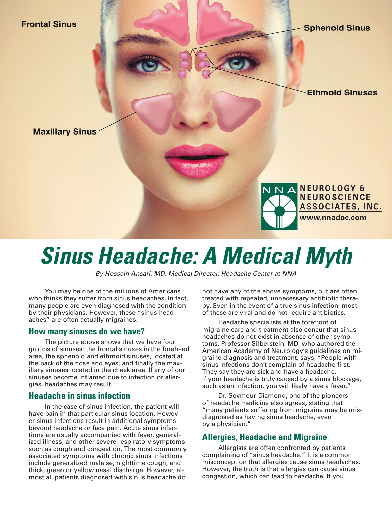

# *Sinus Headache: A Medical Myth*

*By Hossein Ansari, MD, Medical Director, Headache Center at NNA*

You may be one of the millions of Americans who thinks they suffer from sinus headaches. In fact, many people are even diagnosed with the condition by their physicians. However, these "sinus headaches" are often actually migraines.

#### **How many sinuses do we have?**

The picture above shows that we have four groups of sinuses: the frontal sinuses in the forehead area, the sphenoid and ethmoid sinuses, located at the back of the nose and eyes, and finally the maxillary sinuses located in the cheek area. If any of our sinuses become inflamed due to infection or allergies, headaches may result.

#### **Headache in sinus infection**

In the case of sinus infection, the patient will have pain in that particular sinus location. However sinus infections result in additional symptoms beyond headache or face pain. Acute sinus infections are usually accompanied with fever, generalized illness, and other severe respiratory symptoms such as cough and congestion. The most commonly associated symptoms with chronic sinus infections include generalized malaise, nighttime cough, and thick, green or yellow nasal discharge. However, almost all patients diagnosed with sinus headache do

not have any of the above symptoms, but are often treated with repeated, unnecessary antibiotic therapy. Even in the event of a true sinus infection, most of these are viral and do not require antibiotics.

Headache specialists at the forefront of migraine care and treatment also concur that sinus headaches do not exist in absence of other symptoms. Professor Silberstein, MD, who authored the American Academy of Neurology's guidelines on migraine diagnosis and treatment, says, "People with sinus infections don't complain of headache first. They say they are sick and have a headache. If your headache is truly caused by a sinus blockage, such as an infection, you will likely have a fever."

Dr. Seymour Diamond, one of the pioneers of headache medicine also agrees, stating that "many patients suffering from migraine may be misdiagnosed as having sinus headache, even by a physician."

### **Allergies, Headache and Migraine**

Allergists are often confronted by patients complaining of "sinus headache." It is a common misconception that allergies cause sinus headaches. However, the truth is that allergies can cause sinus congestion, which can lead to headache. If you